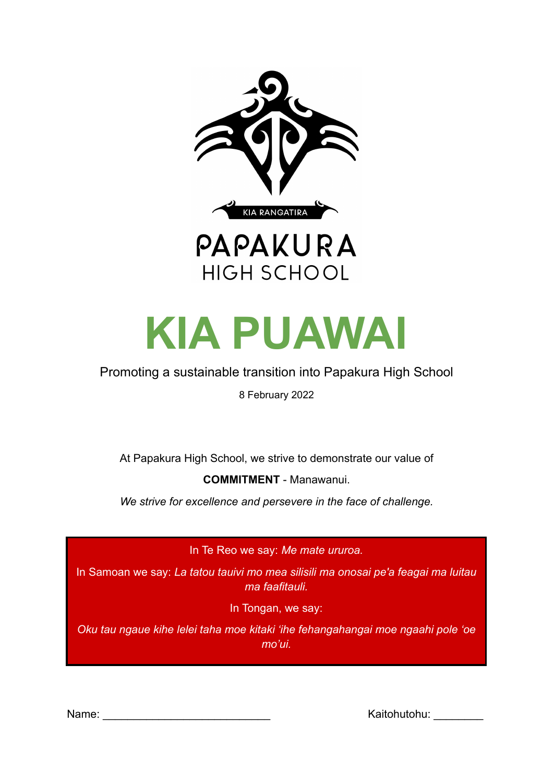





#### Promoting a sustainable transition into Papakura High School

8 February 2022

At Papakura High School, we strive to demonstrate our value of

**COMMITMENT** - Manawanui.

*We strive for excellence and persevere in the face of challenge.*

In Te Reo we say: *Me mate ururoa.*

In Samoan we say: *La tatou tauivi mo mea silisili ma onosai pe'a feagai ma luitau ma faafitauli.*

In Tongan, we say:

*Oku tau ngaue kihe lelei taha moe kitaki 'ihe fehangahangai moe ngaahi pole 'oe mo'ui.*

Name: \_\_\_\_\_\_\_\_\_\_\_\_\_\_\_\_\_\_\_\_\_\_\_\_\_\_\_ Kaitohutohu: \_\_\_\_\_\_\_\_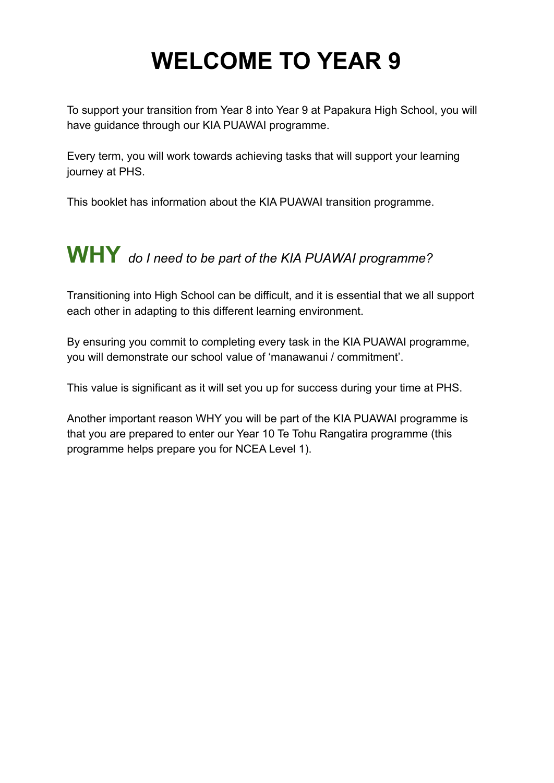## **WELCOME TO YEAR 9**

To support your transition from Year 8 into Year 9 at Papakura High School, you will have guidance through our KIA PUAWAI programme.

Every term, you will work towards achieving tasks that will support your learning journey at PHS.

This booklet has information about the KIA PUAWAI transition programme.

### **WHY** *do <sup>I</sup> need to be part of the KIA PUAWAI programme?*

Transitioning into High School can be difficult, and it is essential that we all support each other in adapting to this different learning environment.

By ensuring you commit to completing every task in the KIA PUAWAI programme, you will demonstrate our school value of 'manawanui / commitment'.

This value is significant as it will set you up for success during your time at PHS.

Another important reason WHY you will be part of the KIA PUAWAI programme is that you are prepared to enter our Year 10 Te Tohu Rangatira programme (this programme helps prepare you for NCEA Level 1).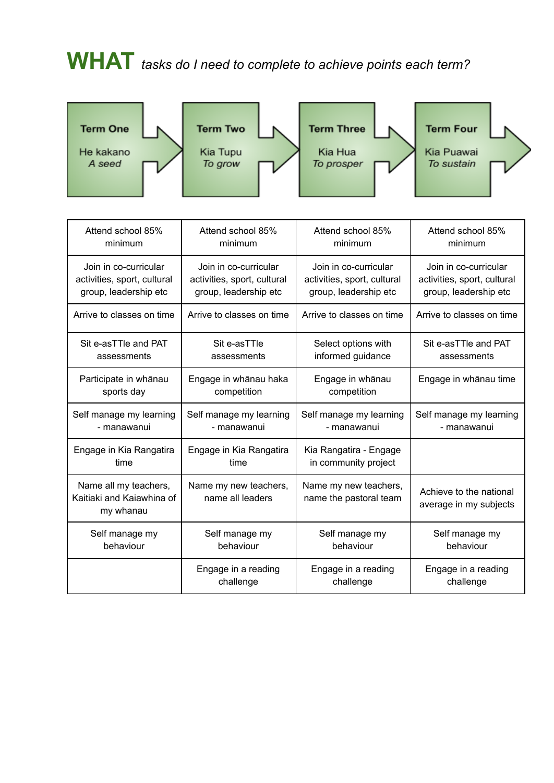# **WHAT** *tasks do <sup>I</sup> need to complete to achieve points each term?*



| Attend school 85%                                               | Attend school 85%                         | Attend school 85%                               | Attend school 85%                                 |  |
|-----------------------------------------------------------------|-------------------------------------------|-------------------------------------------------|---------------------------------------------------|--|
| minimum                                                         | minimum                                   | minimum                                         | minimum                                           |  |
| Join in co-curricular                                           | Join in co-curricular                     | Join in co-curricular                           | Join in co-curricular                             |  |
| activities, sport, cultural                                     | activities, sport, cultural               | activities, sport, cultural                     | activities, sport, cultural                       |  |
| group, leadership etc                                           | group, leadership etc                     | group, leadership etc                           | group, leadership etc                             |  |
| Arrive to classes on time                                       | Arrive to classes on time                 | Arrive to classes on time                       | Arrive to classes on time                         |  |
| Sit e-asTTle and PAT                                            | Sit e-asTTle                              | Select options with                             | Sit e-asTTle and PAT                              |  |
| assessments                                                     | assessments                               | informed guidance                               | assessments                                       |  |
| Participate in whānau                                           | Engage in whānau haka                     | Engage in whānau                                | Engage in whānau time                             |  |
| sports day                                                      | competition                               | competition                                     |                                                   |  |
| Self manage my learning                                         | Self manage my learning                   | Self manage my learning                         | Self manage my learning                           |  |
| - manawanui                                                     | - manawanui                               | - manawanui                                     | - manawanui                                       |  |
| Engage in Kia Rangatira                                         | Engage in Kia Rangatira                   | Kia Rangatira - Engage                          |                                                   |  |
| time                                                            | time                                      | in community project                            |                                                   |  |
| Name all my teachers,<br>Kaitiaki and Kaiawhina of<br>my whanau | Name my new teachers,<br>name all leaders | Name my new teachers,<br>name the pastoral team | Achieve to the national<br>average in my subjects |  |
| Self manage my                                                  | Self manage my                            | Self manage my                                  | Self manage my                                    |  |
| behaviour                                                       | behaviour                                 | behaviour                                       | behaviour                                         |  |
|                                                                 | Engage in a reading                       | Engage in a reading                             | Engage in a reading                               |  |
|                                                                 | challenge                                 | challenge                                       | challenge                                         |  |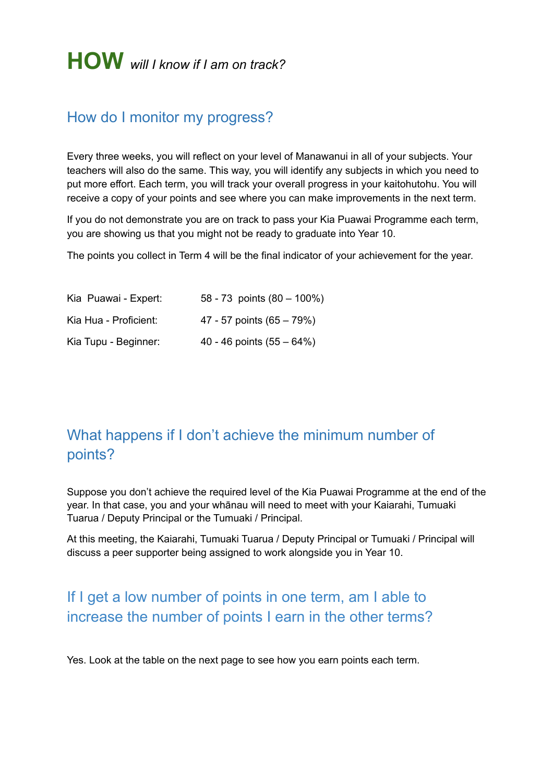#### How do I monitor my progress?

Every three weeks, you will reflect on your level of Manawanui in all of your subjects. Your teachers will also do the same. This way, you will identify any subjects in which you need to put more effort. Each term, you will track your overall progress in your kaitohutohu. You will receive a copy of your points and see where you can make improvements in the next term.

If you do not demonstrate you are on track to pass your Kia Puawai Programme each term, you are showing us that you might not be ready to graduate into Year 10.

The points you collect in Term 4 will be the final indicator of your achievement for the year.

| Kia Puawai - Expert:  | 58 - 73 points $(80 - 100\%)$ |
|-----------------------|-------------------------------|
| Kia Hua - Proficient: | 47 - 57 points (65 - 79%)     |
| Kia Tupu - Beginner:  | 40 - 46 points $(55 - 64%)$   |

### What happens if I don't achieve the minimum number of points?

Suppose you don't achieve the required level of the Kia Puawai Programme at the end of the year. In that case, you and your whānau will need to meet with your Kaiarahi, Tumuaki Tuarua / Deputy Principal or the Tumuaki / Principal.

At this meeting, the Kaiarahi, Tumuaki Tuarua / Deputy Principal or Tumuaki / Principal will discuss a peer supporter being assigned to work alongside you in Year 10.

### If I get a low number of points in one term, am I able to increase the number of points I earn in the other terms?

Yes. Look at the table on the next page to see how you earn points each term.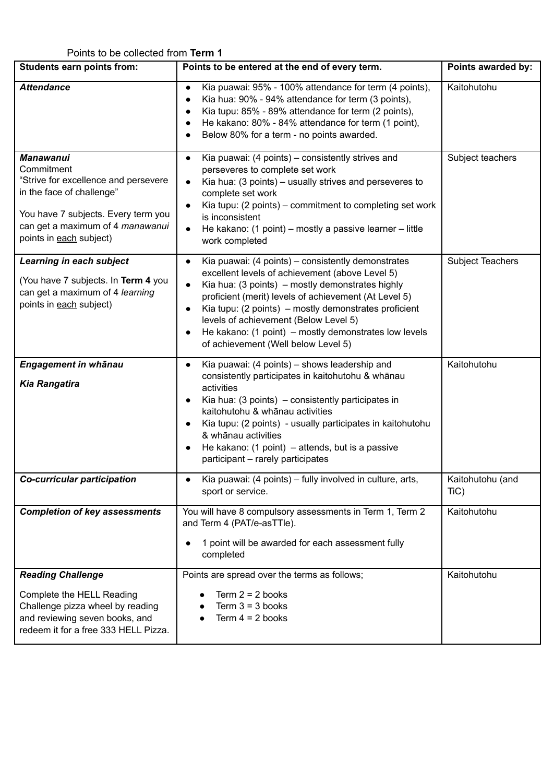#### Points to be collected from **Term 1**

| <b>Students earn points from:</b>                                                                                                                                                                         | Points to be entered at the end of every term.                                                                                                                                                                                                                                                                                                                                                                                                              | Points awarded by:       |
|-----------------------------------------------------------------------------------------------------------------------------------------------------------------------------------------------------------|-------------------------------------------------------------------------------------------------------------------------------------------------------------------------------------------------------------------------------------------------------------------------------------------------------------------------------------------------------------------------------------------------------------------------------------------------------------|--------------------------|
| <b>Attendance</b>                                                                                                                                                                                         | Kia puawai: 95% - 100% attendance for term (4 points),<br>$\bullet$<br>Kia hua: 90% - 94% attendance for term (3 points),<br>$\bullet$<br>Kia tupu: 85% - 89% attendance for term (2 points),<br>He kakano: 80% - 84% attendance for term (1 point),<br>Below 80% for a term - no points awarded.                                                                                                                                                           | Kaitohutohu              |
| <b>Manawanui</b><br>Commitment<br>"Strive for excellence and persevere<br>in the face of challenge"<br>You have 7 subjects. Every term you<br>can get a maximum of 4 manawanui<br>points in each subject) | Kia puawai: (4 points) – consistently strives and<br>$\bullet$<br>perseveres to complete set work<br>Kia hua: (3 points) – usually strives and perseveres to<br>complete set work<br>Kia tupu: (2 points) – commitment to completing set work<br>$\bullet$<br>is inconsistent<br>He kakano: (1 point) – mostly a passive learner – little<br>$\bullet$<br>work completed                                                                                    | Subject teachers         |
| Learning in each subject<br>(You have 7 subjects. In Term 4 you<br>can get a maximum of 4 learning<br>points in each subject)                                                                             | Kia puawai: (4 points) – consistently demonstrates<br>$\bullet$<br>excellent levels of achievement (above Level 5)<br>Kia hua: (3 points) – mostly demonstrates highly<br>$\bullet$<br>proficient (merit) levels of achievement (At Level 5)<br>Kia tupu: (2 points) – mostly demonstrates proficient<br>$\bullet$<br>levels of achievement (Below Level 5)<br>He kakano: (1 point) – mostly demonstrates low levels<br>of achievement (Well below Level 5) | Subject Teachers         |
| Engagement in whānau<br><b>Kia Rangatira</b>                                                                                                                                                              | Kia puawai: (4 points) - shows leadership and<br>$\bullet$<br>consistently participates in kaitohutohu & whānau<br>activities<br>Kia hua: $(3 \text{ points})$ – consistently participates in<br>$\bullet$<br>kaitohutohu & whānau activities<br>Kia tupu: (2 points) - usually participates in kaitohutohu<br>& whānau activities<br>He kakano: $(1 \text{ point}) - \text{attends}$ , but is a passive<br>participant - rarely participates               | Kaitohutohu              |
| Co-curricular participation                                                                                                                                                                               | Kia puawai: (4 points) - fully involved in culture, arts,<br>sport or service.                                                                                                                                                                                                                                                                                                                                                                              | Kaitohutohu (and<br>TiC) |
| <b>Completion of key assessments</b>                                                                                                                                                                      | You will have 8 compulsory assessments in Term 1, Term 2<br>and Term 4 (PAT/e-asTTle).<br>1 point will be awarded for each assessment fully<br>completed                                                                                                                                                                                                                                                                                                    | Kaitohutohu              |
| <b>Reading Challenge</b><br>Complete the HELL Reading<br>Challenge pizza wheel by reading<br>and reviewing seven books, and<br>redeem it for a free 333 HELL Pizza.                                       | Points are spread over the terms as follows;<br>Term $2 = 2$ books<br>Term $3 = 3$ books<br>Term $4 = 2$ books                                                                                                                                                                                                                                                                                                                                              | Kaitohutohu              |